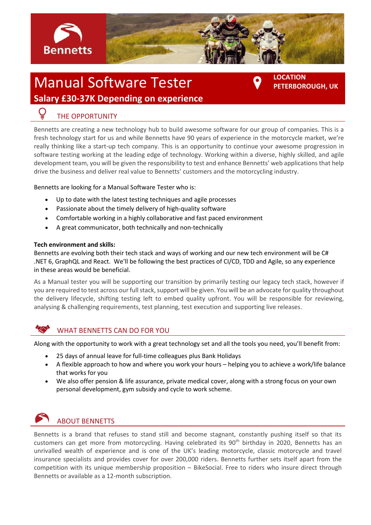

# Manual Software Tester **Salary £30-37K Depending on experience**

**LOCATION PETERBOROUGH, UK**

## THE OPPORTUNITY

Bennetts are creating a new technology hub to build awesome software for our group of companies. This is a fresh technology start for us and while Bennetts have 90 years of experience in the motorcycle market, we're really thinking like a start-up tech company. This is an opportunity to continue your awesome progression in software testing working at the leading edge of technology. Working within a diverse, highly skilled, and agile development team, you will be given the responsibility to test and enhance Bennetts' web applicationsthat help drive the business and deliver real value to Bennetts' customers and the motorcycling industry.

Bennetts are looking for a Manual Software Tester who is:

- Up to date with the latest testing techniques and agile processes
- Passionate about the timely delivery of high-quality software
- Comfortable working in a highly collaborative and fast paced environment
- A great communicator, both technically and non-technically

#### **Tech environment and skills:**

Bennetts are evolving both their tech stack and ways of working and our new tech environment will be C# .NET 6, GraphQL and React. We'll be following the best practices of CI/CD, TDD and Agile, so any experience in these areas would be beneficial.

As a Manual tester you will be supporting our transition by primarily testing our legacy tech stack, however if you are required to test across our full stack, support will be given. You will be an advocate for quality throughout the delivery lifecycle, shifting testing left to embed quality upfront. You will be responsible for reviewing, analysing & challenging requirements, test planning, test execution and supporting live releases.

### WHAT BENNETTS CAN DO FOR YOU

Along with the opportunity to work with a great technology set and all the tools you need, you'll benefit from:

- 25 days of annual leave for full-time colleagues plus Bank Holidays
- A flexible approach to how and where you work your hours helping you to achieve a work/life balance that works for you
- We also offer pension & life assurance, private medical cover, along with a strong focus on your own personal development, gym subsidy and cycle to work scheme.



### ABOUT BENNETTS

Bennetts is a brand that refuses to stand still and become stagnant, constantly pushing itself so that its customers can get more from motorcycling. Having celebrated its 90<sup>th</sup> birthday in 2020, Bennetts has an unrivalled wealth of experience and is one of the UK's leading motorcycle, classic motorcycle and travel insurance specialists and provides cover for over 200,000 riders. Bennetts further sets itself apart from the competition with its unique membership proposition – BikeSocial. Free to riders who insure direct through Bennetts or available as a 12-month subscription.